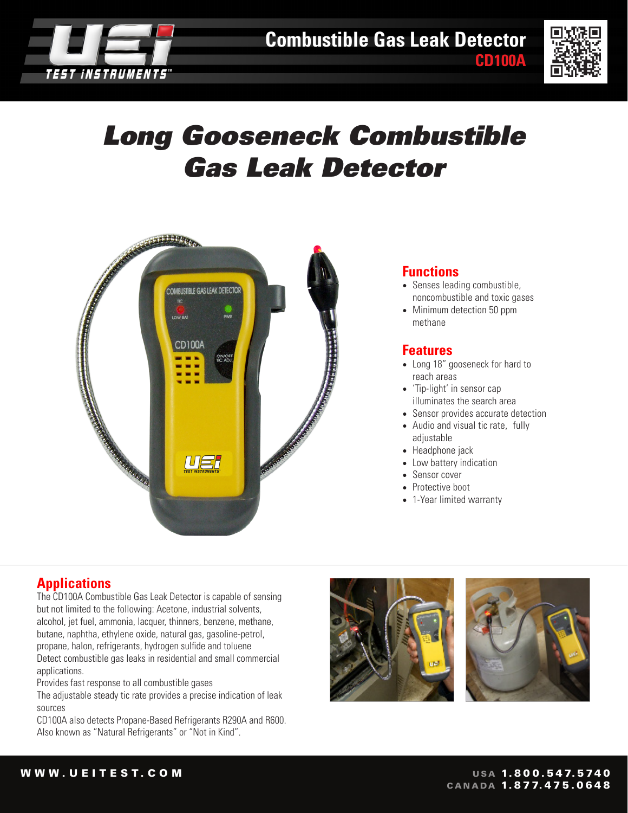



**CD100A**

# *Long Gooseneck Combustible Gas Leak Detector*



#### **Functions**

- Senses leading combustible, noncombustible and toxic gases
- Minimum detection 50 ppm methane

#### **Features**

- Long 18" gooseneck for hard to reach areas
- 'Tip-light' in sensor cap illuminates the search area
- Sensor provides accurate detection
- Audio and visual tic rate, fully adjustable
- Headphone jack
- Low battery indication
- Sensor cover
- Protective boot
- 1-Year limited warranty

## **Applications**

The CD100A Combustible Gas Leak Detector is capable of sensing but not limited to the following: Acetone, industrial solvents, alcohol, jet fuel, ammonia, lacquer, thinners, benzene, methane, butane, naphtha, ethylene oxide, natural gas, gasoline-petrol, propane, halon, refrigerants, hydrogen sulfide and toluene Detect combustible gas leaks in residential and small commercial applications.

Provides fast response to all combustible gases

The adjustable steady tic rate provides a precise indication of leak sources

CD100A also detects Propane-Based Refrigerants R290A and R600. Also known as "Natural Refrigerants" or "Not in Kind".